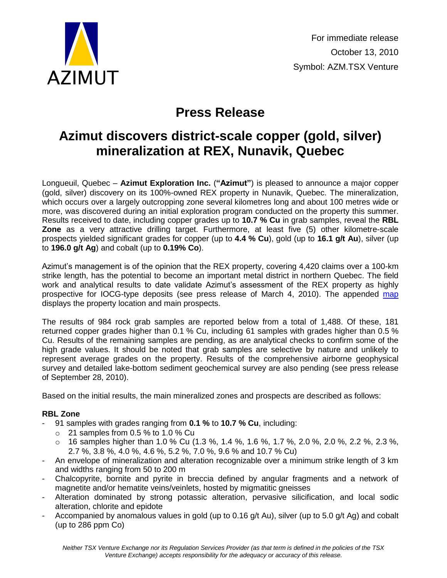

# **Press Release**

## **Azimut discovers district-scale copper (gold, silver) mineralization at REX, Nunavik, Quebec**

Longueuil, Quebec – **Azimut Exploration Inc.** (**"Azimut"**) is pleased to announce a major copper (gold, silver) discovery on its 100%-owned REX property in Nunavik, Quebec. The mineralization, which occurs over a largely outcropping zone several kilometres long and about 100 metres wide or more, was discovered during an initial exploration program conducted on the property this summer. Results received to date, including copper grades up to **10.7 % Cu** in grab samples, reveal the **RBL Zone** as a very attractive drilling target. Furthermore, at least five (5) other kilometre-scale prospects yielded significant grades for copper (up to **4.4 % Cu**), gold (up to **16.1 g/t Au**), silver (up to **196.0 g/t Ag**) and cobalt (up to **0.19% Co**).

Azimut's management is of the opinion that the REX property, covering 4,420 claims over a 100-km strike length, has the potential to become an important metal district in northern Quebec. The field work and analytical results to date validate Azimut's assessment of the REX property as highly prospective for IOCG-type deposits (see press release of March 4, 2010). The appended [map](http://www.azimut-exploration.com/en/presentations/AZM_REX_Discovery_Oct2010_Fig.pdf) displays the property location and main prospects.

The results of 984 rock grab samples are reported below from a total of 1,488. Of these, 181 returned copper grades higher than 0.1 % Cu, including 61 samples with grades higher than 0.5 % Cu. Results of the remaining samples are pending, as are analytical checks to confirm some of the high grade values. It should be noted that grab samples are selective by nature and unlikely to represent average grades on the property. Results of the comprehensive airborne geophysical survey and detailed lake-bottom sediment geochemical survey are also pending (see press release of September 28, 2010).

Based on the initial results, the main mineralized zones and prospects are described as follows:

### **RBL Zone**

- 91 samples with grades ranging from **0.1 %** to **10.7 % Cu**, including:
	- $\circ$  21 samples from 0.5 % to 1.0 % Cu
	- o 16 samples higher than 1.0 % Cu (1.3 %, 1.4 %, 1.6 %, 1.7 %, 2.0 %, 2.0 %, 2.2 %, 2.3 %, 2.7 %, 3.8 %, 4.0 %, 4.6 %, 5.2 %, 7.0 %, 9.6 % and 10.7 % Cu)
- An envelope of mineralization and alteration recognizable over a minimum strike length of 3 km and widths ranging from 50 to 200 m
- Chalcopyrite, bornite and pyrite in breccia defined by angular fragments and a network of magnetite and/or hematite veins/veinlets, hosted by migmatitic gneisses
- Alteration dominated by strong potassic alteration, pervasive silicification, and local sodic alteration, chlorite and epidote
- Accompanied by anomalous values in gold (up to  $0.16$  g/t Au), silver (up to  $5.0$  g/t Ag) and cobalt (up to 286 ppm Co)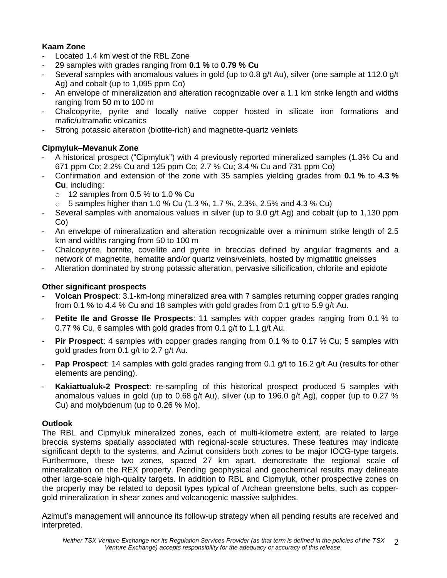#### **Kaam Zone**

- Located 1.4 km west of the RBL Zone
- 29 samples with grades ranging from **0.1 %** to **0.79 % Cu**
- Several samples with anomalous values in gold (up to 0.8 g/t Au), silver (one sample at 112.0 g/t Ag) and cobalt (up to 1,095 ppm Co)
- An envelope of mineralization and alteration recognizable over a 1.1 km strike length and widths ranging from 50 m to 100 m
- Chalcopyrite, pyrite and locally native copper hosted in silicate iron formations and mafic/ultramafic volcanics
- Strong potassic alteration (biotite-rich) and magnetite-quartz veinlets

#### **Cipmyluk–Mevanuk Zone**

- A historical prospect ("Cipmyluk") with 4 previously reported mineralized samples (1.3% Cu and 671 ppm Co; 2.2% Cu and 125 ppm Co; 2.7 % Cu; 3.4 % Cu and 731 ppm Co)
- Confirmation and extension of the zone with 35 samples yielding grades from **0.1 %** to **4.3 % Cu**, including:
	- $\circ$  12 samples from 0.5 % to 1.0 % Cu
	- $\circ$  5 samples higher than 1.0 % Cu (1.3 %, 1.7 %, 2.3%, 2.5% and 4.3 % Cu)
- Several samples with anomalous values in silver (up to 9.0 g/t Ag) and cobalt (up to 1,130 ppm Co)
- An envelope of mineralization and alteration recognizable over a minimum strike length of 2.5 km and widths ranging from 50 to 100 m
- Chalcopyrite, bornite, covellite and pyrite in breccias defined by angular fragments and a network of magnetite, hematite and/or quartz veins/veinlets, hosted by migmatitic gneisses
- Alteration dominated by strong potassic alteration, pervasive silicification, chlorite and epidote

#### **Other significant prospects**

- **Volcan Prospect**: 3.1-km-long mineralized area with 7 samples returning copper grades ranging from 0.1 % to 4.4 % Cu and 18 samples with gold grades from 0.1 g/t to 5.9 g/t Au.
- **Petite Ile and Grosse Ile Prospects**: 11 samples with copper grades ranging from 0.1 % to 0.77 % Cu, 6 samples with gold grades from 0.1 g/t to 1.1 g/t Au.
- **Pir Prospect**: 4 samples with copper grades ranging from 0.1 % to 0.17 % Cu; 5 samples with gold grades from 0.1 g/t to 2.7 g/t Au.
- **Pap Prospect**: 14 samples with gold grades ranging from 0.1 g/t to 16.2 g/t Au (results for other elements are pending).
- **Kakiattualuk-2 Prospect**: re-sampling of this historical prospect produced 5 samples with anomalous values in gold (up to 0.68 g/t Au), silver (up to 196.0 g/t Ag), copper (up to 0.27 % Cu) and molybdenum (up to 0.26 % Mo).

#### **Outlook**

The RBL and Cipmyluk mineralized zones, each of multi-kilometre extent, are related to large breccia systems spatially associated with regional-scale structures. These features may indicate significant depth to the systems, and Azimut considers both zones to be major IOCG-type targets. Furthermore, these two zones, spaced 27 km apart, demonstrate the regional scale of mineralization on the REX property. Pending geophysical and geochemical results may delineate other large-scale high-quality targets. In addition to RBL and Cipmyluk, other prospective zones on the property may be related to deposit types typical of Archean greenstone belts, such as coppergold mineralization in shear zones and volcanogenic massive sulphides.

Azimut's management will announce its follow-up strategy when all pending results are received and interpreted.